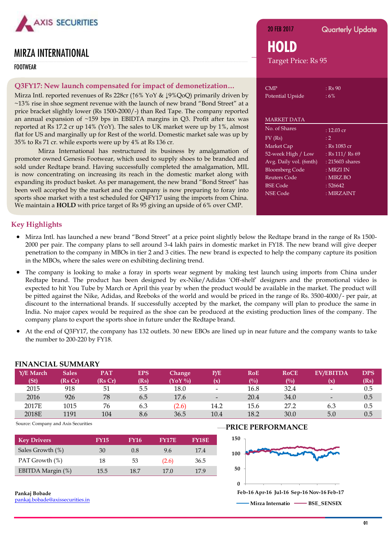

# MIRZA INTERNATIONAL

G Source: Company and Axis Securities Securities Securities Securities Securities Securities Securities Securities FOOTWEAR

## **Q3FY17: New launch compensated for impact of demonetization…**

Mirza Intl. reported revenues of Rs 228cr (↑6% YoY & ↓9%QoQ) primarily driven by ~13% rise in shoe segment revenue with the launch of new brand "Bond Street" at a price bracket slightly lower (Rs 1500-2000/-) than Red Tape. The company reported an annual expansion of ~159 bps in EBIDTA margins in Q3. Profit after tax was reported at Rs 17.2 cr up 14% (YoY). The sales to UK market were up by 1%, almost flat for US and marginally up for Rest of the world. Domestic market sale was up by 35% to Rs 71 cr. while exports were up by 4% at Rs 136 cr.

Mirza International has restructured its business by amalgamation of promoter owned Genesis Footwear, which used to supply shoes to be branded and sold under Redtape brand. Having successfully completed the amalgamation, MIL is now concentrating on increasing its reach in the domestic market along with expanding its product basket. As per management, the new brand "Bond Street" has been well accepted by the market and the company is now preparing to foray into sports shoe market with a test scheduled for Q4FY17 using the imports from China. We maintain a **HOLD** with price target of Rs 95 giving an upside of 6% over CMP.

20 FEB 2017 **Quarterly Update HOLD** Target Price: Rs 95

| <b>CMP</b><br>Potential Upside | : Rs 90<br>: 6% |
|--------------------------------|-----------------|
| <b>MARKET DATA</b>             |                 |
| No. of Shares                  | : 12.03 cr      |
| $FV$ (Rs)                      | : 2             |
| Market Cap                     | : Rs 1083 cr    |
| 52-week High / Low             | : Rs 111/ Rs 69 |
| Avg. Daily vol. (6mth)         | : 215603 shares |
| <b>Bloomberg Code</b>          | : MRZI IN       |
| <b>Reuters Code</b>            | : MIRZ.BO       |
| <b>BSE</b> Code                | : 526642        |
| <b>NSE Code</b>                | : MIRZAINT      |
|                                |                 |

## **Key Highlights**

- Mirza Intl. has launched a new brand "Bond Street" at a price point slightly below the Redtape brand in the range of Rs 1500- 2000 per pair. The company plans to sell around 3-4 lakh pairs in domestic market in FY18. The new brand will give deeper penetration to the company in MBOs in tier 2 and 3 cities. The new brand is expected to help the company capture its position in the MBOs, where the sales were on exhibiting declining trend.
- The company is looking to make a foray in sports wear segment by making test launch using imports from China under Redtape brand. The product has been designed by ex-Nike/Adidas "Off-shelf" designers and the promotional video is expected to hit You Tube by March or April this year by when the product would be available in the market. The product will be pitted against the Nike, Adidas, and Reeboks of the world and would be priced in the range of Rs. 3500-4000/- per pair, at discount to the international brands. If successfully accepted by the market, the company will plan to produce the same in India. No major capex would be required as the shoe can be produced at the existing production lines of the company. The company plans to export the sports shoe in future under the Redtape brand.
- At the end of Q3FY17, the company has 132 outlets. 30 new EBOs are lined up in near future and the company wants to take the number to 200-220 by FY18.

| Y/E March<br>$(S_t)$ | <b>Sales</b><br>(Rs Cr) | <b>PAT</b><br>(Rs Cr) | EPS<br>(Rs) | Change<br>$(YoY\%)$ | P/E<br>(x)               | <b>RoE</b><br>$($ %) | <b>RoCE</b><br>(%) | <b>EV/EBITDA</b><br>(x)  | <b>DPS</b><br>(Rs) |
|----------------------|-------------------------|-----------------------|-------------|---------------------|--------------------------|----------------------|--------------------|--------------------------|--------------------|
| 2015                 | 918                     | 51                    | 5.5         | 18.0                | $\overline{\phantom{a}}$ | 16.8                 | 32.4               | $\overline{\phantom{a}}$ | 0.5                |
| 2016                 | 926                     | 78                    | 6.5         | 17.6                | $\qquad \qquad$          | 20.4                 | 34.0               | $\overline{\phantom{a}}$ | 0.5                |
| 2017E                | 1015                    | 76                    | 6.3         | (2.6)               | 14.2                     | 15.6                 | 27.2               | 6.3                      | 0.5                |
| 2018E                | 1191                    | 104                   | 8.6         | 36.5                | 10.4                     | 18.2                 | 30.0               | 5.0                      | 0.5                |
|                      |                         |                       |             |                     |                          |                      |                    |                          |                    |

## **FINANCIAL CURALISM**

Source: Company and Axis Securities

| <b>Key Drivers</b> | <b>FY15</b> | <b>FY16</b> | <b>FY17E</b> | <b>FY18E</b> |
|--------------------|-------------|-------------|--------------|--------------|
| Sales Growth (%)   | 30          | 0.8         | 9.6          | 17.4         |
| PAT Growth (%)     | 18          | 53          | (2.6)        | 36.5         |
| EBITDA Margin (%)  | 15.5        | 18.7        | 17.0         | 17.9         |

#### **Pankaj Bobade**

[pankaj.bobade@axissecurities.in](mailto:pankaj.bobade@axissecurities.in)

### **PRICE PERFORMANCE**

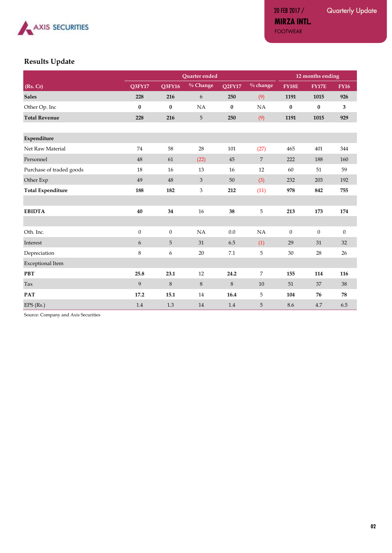

20 FEB 2017 / Quarterly Update

**MIRZA INTL.** FOOTWEAR

## **Results Update**

|                          | Quarter ended    |                |            |          | 12 months ending |                |                  |                |
|--------------------------|------------------|----------------|------------|----------|------------------|----------------|------------------|----------------|
| (Rs. Cr)                 | Q3FY17           | Q3FY16         | $%$ Change | Q2FY17   | $%$ change       | <b>FY18E</b>   | <b>FY17E</b>     | <b>FY16</b>    |
| <b>Sales</b>             | 228              | 216            | 6          | 250      | (9)              | 1191           | 1015             | 926            |
| Other Op. Inc            | $\bf{0}$         | $\bf{0}$       | NA         | $\bf{0}$ | NA               | $\bf{0}$       | $\bf{0}$         | 3              |
| <b>Total Revenue</b>     | 228              | 216            | 5          | 250      | (9)              | 1191           | 1015             | 929            |
|                          |                  |                |            |          |                  |                |                  |                |
| Expenditure              |                  |                |            |          |                  |                |                  |                |
| Net Raw Material         | 74               | 58             | 28         | 101      | (27)             | 465            | 401              | 344            |
| Personnel                | 48               | 61             | (22)       | 45       | $\sqrt{7}$       | 222            | 188              | 160            |
| Purchase of traded goods | 18               | 16             | 13         | 16       | 12               | 60             | 51               | 59             |
| Other Exp                | 49               | 48             | 3          | $50\,$   | (3)              | 232            | 203              | 192            |
| <b>Total Expenditure</b> | 188              | 182            | 3          | 212      | (11)             | 978            | 842              | 755            |
|                          |                  |                |            |          |                  |                |                  |                |
| <b>EBIDTA</b>            | 40               | 34             | 16         | 38       | 5                | 213            | 173              | 174            |
|                          |                  |                |            |          |                  |                |                  |                |
| Oth. Inc.                | $\boldsymbol{0}$ | $\overline{0}$ | NA         | 0.0      | NA               | $\overline{0}$ | $\boldsymbol{0}$ | $\overline{0}$ |
| Interest                 | 6                | 5              | 31         | 6.5      | (1)              | 29             | 31               | 32             |
| Depreciation             | 8                | 6              | 20         | 7.1      | 5                | 30             | 28               | $26\,$         |
| <b>Exceptional Item</b>  |                  |                |            |          |                  |                |                  |                |
| <b>PBT</b>               | 25.8             | 23.1           | 12         | 24.2     | 7                | 155            | 114              | 116            |
| Tax                      | 9                | 8              | 8          | 8        | 10               | 51             | 37               | $38\,$         |
| <b>PAT</b>               | 17.2             | 15.1           | 14         | 16.4     | 5                | 104            | 76               | 78             |
| EPS (Rs.)                | 1.4              | 1.3            | 14         | 1.4      | 5                | 8.6            | 4.7              | 6.5            |

Source: Company and Axis Securities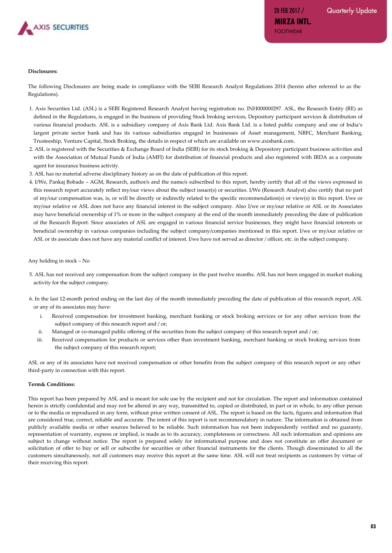

**MIRZA INTL.**

FOOTWEAR

#### **Disclosures:**

The following Disclosures are being made in compliance with the SEBI Research Analyst Regulations 2014 (herein after referred to as the Regulations).

- 1. Axis Securities Ltd. (ASL) is a SEBI Registered Research Analyst having registration no. INH000000297. ASL, the Research Entity (RE) as defined in the Regulations, is engaged in the business of providing Stock broking services, Depository participant services & distribution of various financial products. ASL is a subsidiary company of Axis Bank Ltd. Axis Bank Ltd. is a listed public company and one of India's largest private sector bank and has its various subsidiaries engaged in businesses of Asset management, NBFC, Merchant Banking, Trusteeship, Venture Capital, Stock Broking, the details in respect of which are available on www.axisbank.com.
- 2. ASL is registered with the Securities & Exchange Board of India (SEBI) for its stock broking & Depository participant business activities and with the Association of Mutual Funds of India (AMFI) for distribution of financial products and also registered with IRDA as a corporate agent for insurance business activity.
- 3. ASL has no material adverse disciplinary history as on the date of publication of this report.
- 4. I/We, Pankaj Bobade AGM, Research, author/s and the name/s subscribed to this report, hereby certify that all of the views expressed in this research report accurately reflect my/our views about the subject issuer(s) or securities. I/We (Research Analyst) also certify that no part of my/our compensation was, is, or will be directly or indirectly related to the specific recommendation(s) or view(s) in this report. I/we or my/our relative or ASL does not have any financial interest in the subject company. Also I/we or my/our relative or ASL or its Associates may have beneficial ownership of 1% or more in the subject company at the end of the month immediately preceding the date of publication of the Research Report. Since associates of ASL are engaged in various financial service businesses, they might have financial interests or beneficial ownership in various companies including the subject company/companies mentioned in this report. I/we or my/our relative or ASL or its associate does not have any material conflict of interest. I/we have not served as director / officer, etc. in the subject company.

Any holding in stock – No

5. ASL has not received any compensation from the subject company in the past twelve months. ASL has not been engaged in market making activity for the subject company.

6. In the last 12-month period ending on the last day of the month immediately preceding the date of publication of this research report, ASL or any of its associates may have:

- i. Received compensation for investment banking, merchant banking or stock broking services or for any other services from the subject company of this research report and / or;
- ii. Managed or co-managed public offering of the securities from the subject company of this research report and / or;
- iii. Received compensation for products or services other than investment banking, merchant banking or stock broking services from the subject company of this research report;

ASL or any of its associates have not received compensation or other benefits from the subject company of this research report or any other third-party in connection with this report.

#### **Term& Conditions:**

This report has been prepared by ASL and is meant for sole use by the recipient and not for circulation. The report and information contained herein is strictly confidential and may not be altered in any way, transmitted to, copied or distributed, in part or in whole, to any other person or to the media or reproduced in any form, without prior written consent of ASL. The report is based on the facts, figures and information that are considered true, correct, reliable and accurate. The intent of this report is not recommendatory in nature. The information is obtained from publicly available media or other sources believed to be reliable. Such information has not been independently verified and no guaranty, representation of warranty, express or implied, is made as to its accuracy, completeness or correctness. All such information and opinions are subject to change without notice. The report is prepared solely for informational purpose and does not constitute an offer document or solicitation of offer to buy or sell or subscribe for securities or other financial instruments for the clients. Though disseminated to all the customers simultaneously, not all customers may receive this report at the same time. ASL will not treat recipients as customers by virtue of their receiving this report.